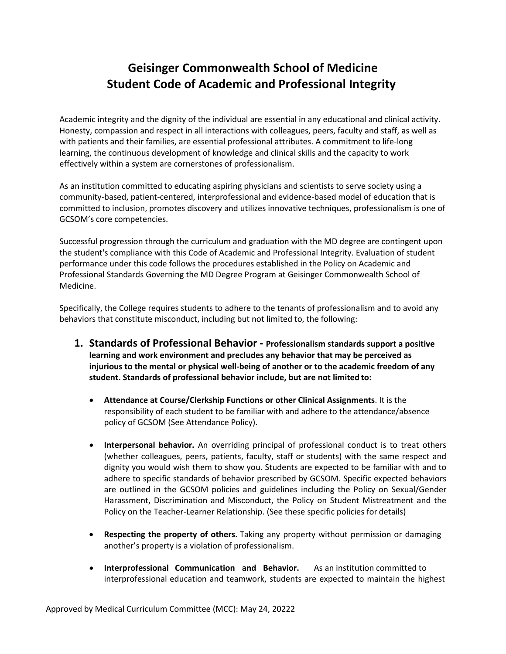# **Geisinger Commonwealth School of Medicine Student Code of Academic and Professional Integrity**

Academic integrity and the dignity of the individual are essential in any educational and clinical activity. Honesty, compassion and respect in all interactions with colleagues, peers, faculty and staff, as well as with patients and their families, are essential professional attributes. A commitment to life-long learning, the continuous development of knowledge and clinical skills and the capacity to work effectively within a system are cornerstones of professionalism.

As an institution committed to educating aspiring physicians and scientists to serve society using a community-based, patient-centered, interprofessional and evidence-based model of education that is committed to inclusion, promotes discovery and utilizes innovative techniques, professionalism is one of GCSOM's core competencies.

Successful progression through the curriculum and graduation with the MD degree are contingent upon the student's compliance with this Code of Academic and Professional Integrity. Evaluation of student performance under this code follows the procedures established in the Policy on Academic and Professional Standards Governing the MD Degree Program at Geisinger Commonwealth School of Medicine.

Specifically, the College requires students to adhere to the tenants of professionalism and to avoid any behaviors that constitute misconduct, including but not limited to, the following:

- **1. Standards of Professional Behavior - Professionalism standards support a positive learning and work environment and precludes any behavior that may be perceived as injurious to the mental or physical well-being of another or to the academic freedom of any student. Standards of professional behavior include, but are not limited to:**
	- **Attendance at Course/Clerkship Functions or other Clinical Assignments**. It is the responsibility of each student to be familiar with and adhere to the attendance/absence policy of GCSOM (See Attendance Policy).
	- **Interpersonal behavior.** An overriding principal of professional conduct is to treat others (whether colleagues, peers, patients, faculty, staff or students) with the same respect and dignity you would wish them to show you. Students are expected to be familiar with and to adhere to specific standards of behavior prescribed by GCSOM. Specific expected behaviors are outlined in the GCSOM policies and guidelines including the Policy on Sexual/Gender Harassment, Discrimination and Misconduct, the Policy on Student Mistreatment and the Policy on the Teacher-Learner Relationship. (See these specific policies for details)
	- **Respecting the property of others.** Taking any property without permission or damaging another's property is a violation of professionalism.
	- **Interprofessional Communication and Behavior.** As an institution committed to interprofessional education and teamwork, students are expected to maintain the highest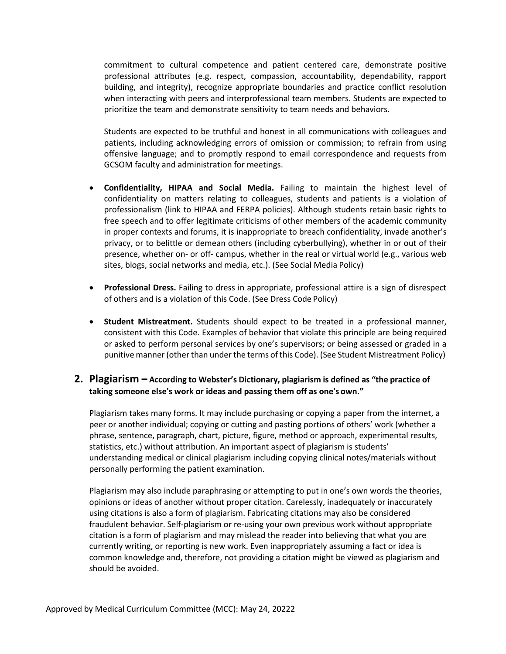commitment to cultural competence and patient centered care, demonstrate positive professional attributes (e.g. respect, compassion, accountability, dependability, rapport building, and integrity), recognize appropriate boundaries and practice conflict resolution when interacting with peers and interprofessional team members. Students are expected to prioritize the team and demonstrate sensitivity to team needs and behaviors.

Students are expected to be truthful and honest in all communications with colleagues and patients, including acknowledging errors of omission or commission; to refrain from using offensive language; and to promptly respond to email correspondence and requests from GCSOM faculty and administration for meetings.

- **Confidentiality, HIPAA and Social Media.** Failing to maintain the highest level of confidentiality on matters relating to colleagues, students and patients is a violation of professionalism (link to HIPAA and FERPA policies). Although students retain basic rights to free speech and to offer legitimate criticisms of other members of the academic community in proper contexts and forums, it is inappropriate to breach confidentiality, invade another's privacy, or to belittle or demean others (including cyberbullying), whether in or out of their presence, whether on- or off- campus, whether in the real or virtual world (e.g., various web sites, blogs, social networks and media, etc.). (See Social Media Policy)
- **Professional Dress.** Failing to dress in appropriate, professional attire is a sign of disrespect of others and is a violation of this Code. (See Dress Code Policy)
- **Student Mistreatment.** Students should expect to be treated in a professional manner, consistent with this Code. Examples of behavior that violate this principle are being required or asked to perform personal services by one's supervisors; or being assessed or graded in a punitive manner (other than under the terms of this Code). (See Student Mistreatment Policy)

#### **2. Plagiarism – According to Webster's Dictionary, plagiarism is defined as "the practice of taking someone else's work or ideas and passing them off as one's own."**

Plagiarism takes many forms. It may include purchasing or copying a paper from the internet, a peer or another individual; copying or cutting and pasting portions of others' work (whether a phrase, sentence, paragraph, chart, picture, figure, method or approach, experimental results, statistics, etc.) without attribution. An important aspect of plagiarism is students' understanding medical or clinical plagiarism including copying clinical notes/materials without personally performing the patient examination.

Plagiarism may also include paraphrasing or attempting to put in one's own words the theories, opinions or ideas of another without proper citation. Carelessly, inadequately or inaccurately using citations is also a form of plagiarism. Fabricating citations may also be considered fraudulent behavior. Self-plagiarism or re-using your own previous work without appropriate citation is a form of plagiarism and may mislead the reader into believing that what you are currently writing, or reporting is new work. Even inappropriately assuming a fact or idea is common knowledge and, therefore, not providing a citation might be viewed as plagiarism and should be avoided.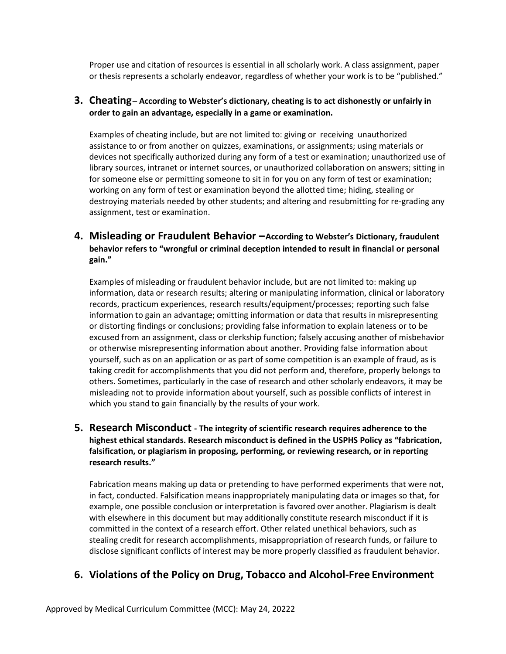Proper use and citation of resources is essential in all scholarly work. A class assignment, paper or thesis represents a scholarly endeavor, regardless of whether your work is to be "published."

#### **3. Cheating– According to Webster's dictionary, cheating is to act dishonestly or unfairly in order to gain an advantage, especially in a game or examination.**

Examples of cheating include, but are not limited to: giving or receiving unauthorized assistance to or from another on quizzes, examinations, or assignments; using materials or devices not specifically authorized during any form of a test or examination; unauthorized use of library sources, intranet or internet sources, or unauthorized collaboration on answers; sitting in for someone else or permitting someone to sit in for you on any form of test or examination; working on any form of test or examination beyond the allotted time; hiding, stealing or destroying materials needed by other students; and altering and resubmitting for re-grading any assignment, test or examination.

## **4. Misleading or Fraudulent Behavior –According to Webster's Dictionary, fraudulent behavior refers to "wrongful or criminal deception intended to result in financial or personal gain."**

Examples of misleading or fraudulent behavior include, but are not limited to: making up information, data or research results; altering or manipulating information, clinical or laboratory records, practicum experiences, research results/equipment/processes; reporting such false information to gain an advantage; omitting information or data that results in misrepresenting or distorting findings or conclusions; providing false information to explain lateness or to be excused from an assignment, class or clerkship function; falsely accusing another of misbehavior or otherwise misrepresenting information about another. Providing false information about yourself, such as on an application or as part of some competition is an example of fraud, as is taking credit for accomplishments that you did not perform and, therefore, properly belongs to others. Sometimes, particularly in the case of research and other scholarly endeavors, it may be misleading not to provide information about yourself, such as possible conflicts of interest in which you stand to gain financially by the results of your work.

## **5. Research Misconduct - The integrity of scientific research requires adherence to the highest ethical standards. Research misconduct is defined in the USPHS Policy as "fabrication, falsification, or plagiarism in proposing, performing, or reviewing research, or in reporting research results."**

Fabrication means making up data or pretending to have performed experiments that were not, in fact, conducted. Falsification means inappropriately manipulating data or images so that, for example, one possible conclusion or interpretation is favored over another. Plagiarism is dealt with elsewhere in this document but may additionally constitute research misconduct if it is committed in the context of a research effort. Other related unethical behaviors, such as stealing credit for research accomplishments, misappropriation of research funds, or failure to disclose significant conflicts of interest may be more properly classified as fraudulent behavior.

## **6. Violations of the Policy on Drug, Tobacco and Alcohol-Free Environment**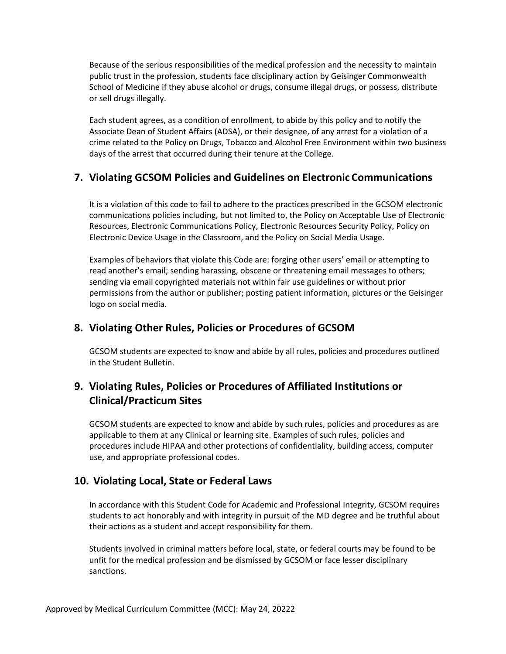Because of the serious responsibilities of the medical profession and the necessity to maintain public trust in the profession, students face disciplinary action by Geisinger Commonwealth School of Medicine if they abuse alcohol or drugs, consume illegal drugs, or possess, distribute or sell drugs illegally.

Each student agrees, as a condition of enrollment, to abide by this policy and to notify the Associate Dean of Student Affairs (ADSA), or their designee, of any arrest for a violation of a crime related to the Policy on Drugs, Tobacco and Alcohol Free Environment within two business days of the arrest that occurred during their tenure at the College.

## **7. Violating GCSOM Policies and Guidelines on Electronic Communications**

It is a violation of this code to fail to adhere to the practices prescribed in the GCSOM electronic communications policies including, but not limited to, the Policy on Acceptable Use of Electronic Resources, Electronic Communications Policy, Electronic Resources Security Policy, Policy on Electronic Device Usage in the Classroom, and the Policy on Social Media Usage.

Examples of behaviors that violate this Code are: forging other users' email or attempting to read another's email; sending harassing, obscene or threatening email messages to others; sending via email copyrighted materials not within fair use guidelines or without prior permissions from the author or publisher; posting patient information, pictures or the Geisinger logo on social media.

## **8. Violating Other Rules, Policies or Procedures of GCSOM**

GCSOM students are expected to know and abide by all rules, policies and procedures outlined in the Student Bulletin.

# **9. Violating Rules, Policies or Procedures of Affiliated Institutions or Clinical/Practicum Sites**

GCSOM students are expected to know and abide by such rules, policies and procedures as are applicable to them at any Clinical or learning site. Examples of such rules, policies and procedures include HIPAA and other protections of confidentiality, building access, computer use, and appropriate professional codes.

## **10. Violating Local, State or Federal Laws**

In accordance with this Student Code for Academic and Professional Integrity, GCSOM requires students to act honorably and with integrity in pursuit of the MD degree and be truthful about their actions as a student and accept responsibility for them.

Students involved in criminal matters before local, state, or federal courts may be found to be unfit for the medical profession and be dismissed by GCSOM or face lesser disciplinary sanctions.